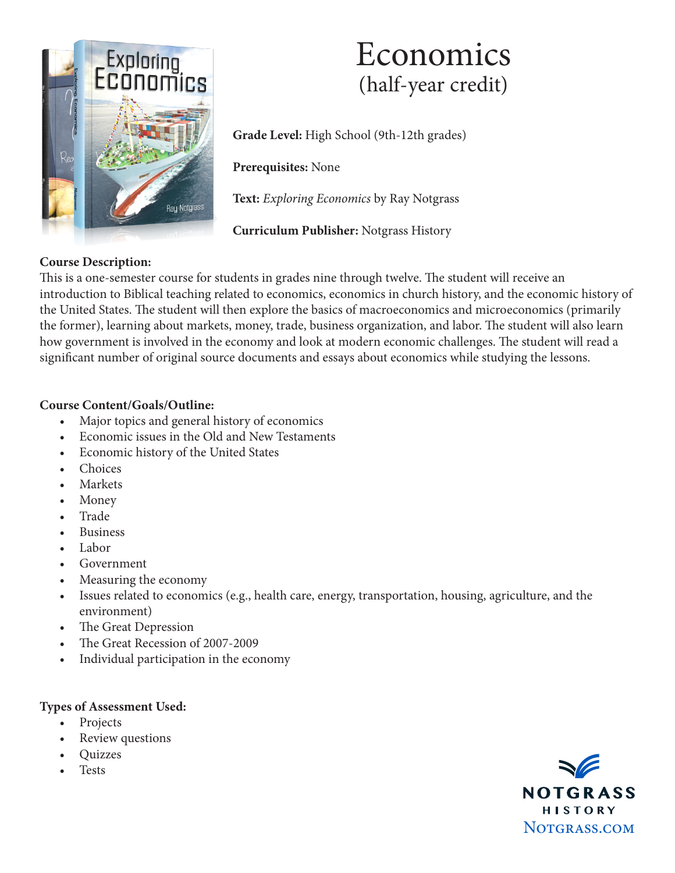

# Economics (half-year credit)

**Grade Level:** High School (9th-12th grades)

**Prerequisites:** None

**Text:** *Exploring Economics* by Ray Notgrass

**Curriculum Publisher:** Notgrass History

# **Course Description:**

This is a one-semester course for students in grades nine through twelve. The student will receive an introduction to Biblical teaching related to economics, economics in church history, and the economic history of the United States. The student will then explore the basics of macroeconomics and microeconomics (primarily the former), learning about markets, money, trade, business organization, and labor. The student will also learn how government is involved in the economy and look at modern economic challenges. The student will read a significant number of original source documents and essays about economics while studying the lessons.

### **Course Content/Goals/Outline:**

- Major topics and general history of economics
- Economic issues in the Old and New Testaments
- Economic history of the United States
- **Choices**
- **Markets**
- Money
- Trade
- **Business**
- Labor
- **Government**
- Measuring the economy
- Issues related to economics (e.g., health care, energy, transportation, housing, agriculture, and the environment)
- The Great Depression
- The Great Recession of 2007-2009
- Individual participation in the economy

#### **Types of Assessment Used:**

- Projects
- Review questions
- Quizzes
- **Tests**